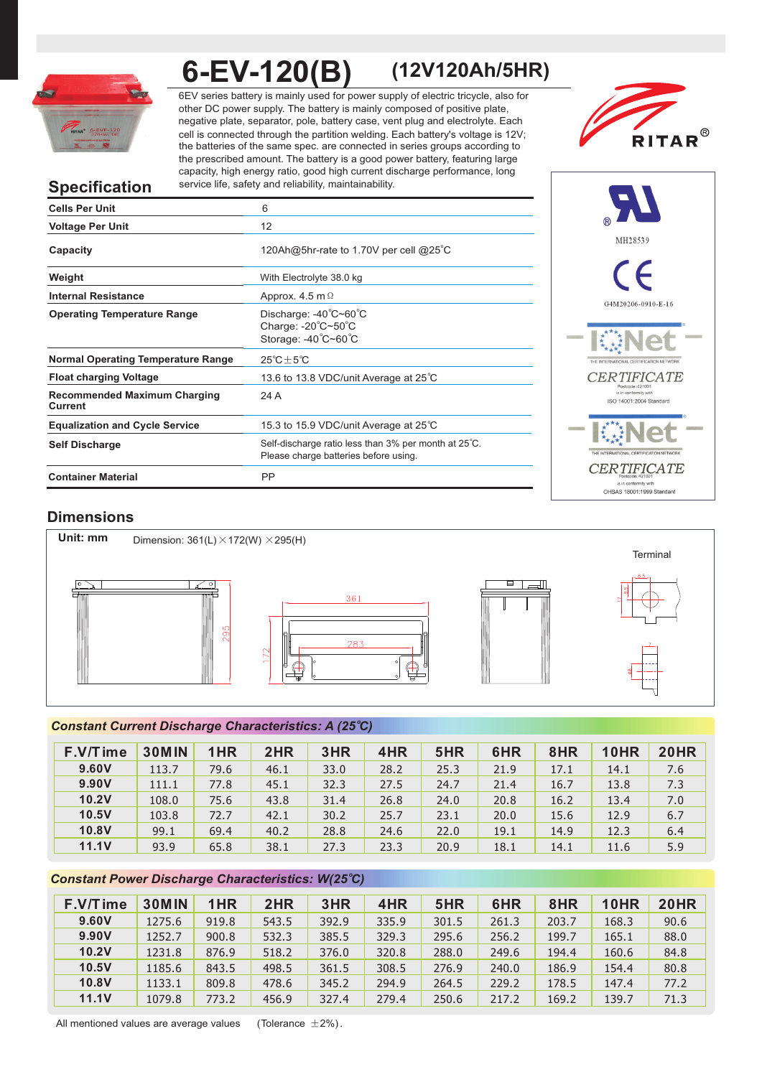

**6-EV-120(B) (12V120Ah/5HR)**

6EV series battery is mainly used for power supply of electric tricycle, also for other DC power supply. The battery is mainly composed of positive plate, negative plate, separator, pole, battery case, vent plug and electrolyte. Each cell is connected through the partition welding. Each battery's voltage is 12V; the batteries of the same spec. are connected in series groups according to the prescribed amount. The battery is a good power battery, featuring large capacity, high energy ratio, good high current discharge performance, long service life, safety and reliability, maintainability.



# **Specification**

| <b>Cells Per Unit</b>                          | 6                                                                                             |
|------------------------------------------------|-----------------------------------------------------------------------------------------------|
| <b>Voltage Per Unit</b>                        | 12                                                                                            |
| Capacity                                       | 120Ah@5hr-rate to 1.70V per cell @25°C                                                        |
| Weight                                         | With Electrolyte 38.0 kg                                                                      |
| <b>Internal Resistance</b>                     | Approx. 4.5 m $\Omega$                                                                        |
| <b>Operating Temperature Range</b>             | Discharge: -40°C~60°C<br>Charge: $-20^{\circ}$ C $-50^{\circ}$ C<br>Storage: -40°C~60°C       |
| <b>Normal Operating Temperature Range</b>      | $25^{\circ}$ C $\pm$ 5 $^{\circ}$ C                                                           |
| <b>Float charging Voltage</b>                  | 13.6 to 13.8 VDC/unit Average at 25°C                                                         |
| <b>Recommended Maximum Charging</b><br>Current | 24 A                                                                                          |
| <b>Equalization and Cycle Service</b>          | 15.3 to 15.9 VDC/unit Average at 25°C                                                         |
| <b>Self Discharge</b>                          | Self-discharge ratio less than 3% per month at 25°C.<br>Please charge batteries before using. |
| <b>Container Material</b>                      | PP                                                                                            |



# **Dimensions**



# *<sup>o</sup> Constant Current Discharge Characteristics: A (25 C)*

| F.V/Time     | <b>30MIN</b> | 1HR  | 2HR  | 3HR  | 4HR  | 5HR  | 6HR  | 8HR  | 10HR | <b>20HR</b> |
|--------------|--------------|------|------|------|------|------|------|------|------|-------------|
| 9.60V        | 113.7        | 79.6 | 46.1 | 33.0 | 28.2 | 25.3 | 21.9 | 17.1 | 14.1 | 7.6         |
| 9.90V        | 111.1        | 77.8 | 45.1 | 32.3 | 27.5 | 24.7 | 21.4 | 16.7 | 13.8 | 7.3         |
| 10.2V        | 108.0        | 75.6 | 43.8 | 31.4 | 26.8 | 24.0 | 20.8 | 16.2 | 13.4 | 7.0         |
| 10.5V        | 103.8        | 72.7 | 42.1 | 30.2 | 25.7 | 23.1 | 20.0 | 15.6 | 12.9 | 6.7         |
| 10.8V        | 99.1         | 69.4 | 40.2 | 28.8 | 24.6 | 22.0 | 19.1 | 14.9 | 12.3 | 6.4         |
| <b>11.1V</b> | 93.9         | 65.8 | 38.1 | 27.3 | 23.3 | 20.9 | 18.1 | 14.1 | 11.6 | 5.9         |

# **Constant Power Discharge Characteristics: W(25°C)**

| F.V/Time     | <b>30MIN</b> | 1HR   | 2HR   | 3HR   | 4HR   | 5HR   | 6HR   | 8HR   | 10HR  | 20HR |
|--------------|--------------|-------|-------|-------|-------|-------|-------|-------|-------|------|
| 9.60V        | 1275.6       | 919.8 | 543.5 | 392.9 | 335.9 | 301.5 | 261.3 | 203.7 | 168.3 | 90.6 |
| 9.90V        | 1252.7       | 900.8 | 532.3 | 385.5 | 329.3 | 295.6 | 256.2 | 199.7 | 165.1 | 88.0 |
| 10.2V        | 1231.8       | 876.9 | 518.2 | 376.0 | 320.8 | 288.0 | 249.6 | 194.4 | 160.6 | 84.8 |
| 10.5V        | 1185.6       | 843.5 | 498.5 | 361.5 | 308.5 | 276.9 | 240.0 | 186.9 | 154.4 | 80.8 |
| 10.8V        | 1133.1       | 809.8 | 478.6 | 345.2 | 294.9 | 264.5 | 229.2 | 178.5 | 147.4 | 77.2 |
| <b>11.1V</b> | 1079.8       | 773.2 | 456.9 | 327.4 | 279.4 | 250.6 | 217.2 | 169.2 | 139.7 | 71.3 |

All mentioned values are average values (Tolerance  $\pm 2\%$ ).